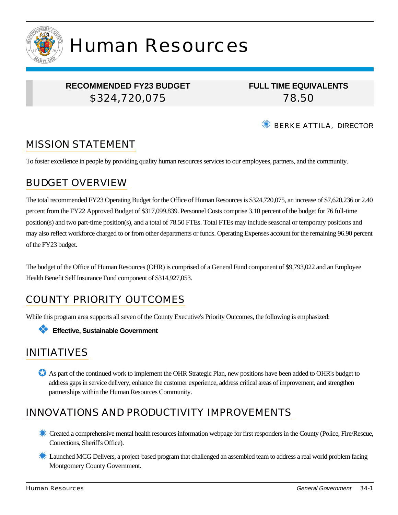

# Human Resources

## **RECOMMENDED FY23 BUDGET** \$324,720,075

**FULL TIME EQUIVALENTS** 78.50

BERKE ATTILA, DIRECTOR

# MISSION STATEMENT

To foster excellence in people by providing quality human resources services to our employees, partners, and the community.

# BUDGET OVERVIEW

The total recommended FY23 Operating Budget for the Office of Human Resources is \$324,720,075, an increase of \$7,620,236 or 2.40 percent from the FY22 Approved Budget of \$317,099,839. Personnel Costs comprise 3.10 percent of the budget for 76 full-time position(s) and two part-time position(s), and a total of 78.50 FTEs. Total FTEs may include seasonal or temporary positions and may also reflect workforce charged to or from other departments or funds. Operating Expenses account for the remaining 96.90 percent of the FY23 budget.

The budget of the Office of Human Resources (OHR) is comprised of a General Fund component of \$9,793,022 and an Employee Health Benefit Self Insurance Fund component of \$314,927,053.

# COUNTY PRIORITY OUTCOMES

While this program area supports all seven of the County Executive's Priority Outcomes, the following is emphasized:



## INITIATIVES

As part of the continued work to implement the OHR Strategic Plan, new positions have been added to OHR's budget to address gaps in service delivery, enhance the customer experience, address critical areas of improvement, and strengthen partnerships within the Human Resources Community.

# INNOVATIONS AND PRODUCTIVITY IMPROVEMENTS

- ✹ Created a comprehensive mental health resources information webpage for first responders in the County (Police, Fire/Rescue, Corrections, Sheriff's Office).
- ✹ Launched MCG Delivers, a project-based program that challenged an assembled team to address a real world problem facing Montgomery County Government.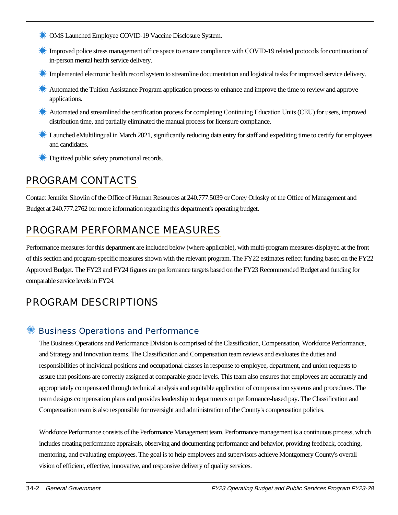- ✹ OMS Launched Employee COVID-19 Vaccine Disclosure System.
- ✹ Improved police stress management office space to ensure compliance with COVID-19 related protocols for continuation of in-person mental health service delivery.
- Implemented electronic health record system to streamline documentation and logistical tasks for improved service delivery.
- ✹ Automated the Tuition Assistance Program application process to enhance and improve the time to review and approve applications.
- ✹ Automated and streamlined the certification process for completing Continuing Education Units (CEU) for users, improved distribution time, and partially eliminated the manual process for licensure compliance.
- **K** Launched eMultilingual in March 2021, significantly reducing data entry for staff and expediting time to certify for employees and candidates.
- **<del></del>** Digitized public safety promotional records.

# PROGRAM CONTACTS

Contact Jennifer Shovlin of the Office of Human Resources at 240.777.5039 or Corey Orlosky of the Office of Management and Budget at 240.777.2762 for more information regarding this department's operating budget.

# PROGRAM PERFORMANCE MEASURES

Performance measures for this department are included below (where applicable), with multi-program measures displayed at the front of this section and program-specific measures shown with the relevant program. The FY22 estimates reflect funding based on the FY22 Approved Budget. The FY23 and FY24 figures are performance targets based on the FY23 Recommended Budget and funding for comparable service levels in FY24.

# PROGRAM DESCRIPTIONS

#### ✺ Business Operations and Performance

The Business Operations and Performance Division is comprised of the Classification, Compensation, Workforce Performance, and Strategy and Innovation teams. The Classification and Compensation team reviews and evaluates the duties and responsibilities of individual positions and occupational classes in response to employee, department, and union requests to assure that positions are correctly assigned at comparable grade levels. This team also ensures that employees are accurately and appropriately compensated through technical analysis and equitable application of compensation systems and procedures. The team designs compensation plans and provides leadership to departments on performance-based pay. The Classification and Compensation team is also responsible for oversight and administration of the County's compensation policies.

Workforce Performance consists of the Performance Management team. Performance management is a continuous process, which includes creating performance appraisals, observing and documenting performance and behavior, providing feedback, coaching, mentoring, and evaluating employees. The goal is to help employees and supervisors achieve Montgomery County's overall vision of efficient, effective, innovative, and responsive delivery of quality services.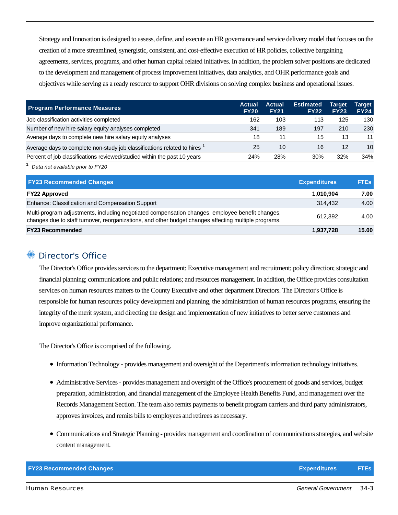Strategy and Innovation is designed to assess, define, and execute an HR governance and service delivery model that focuses on the creation of a more streamlined, synergistic, consistent, and cost-effective execution of HR policies, collective bargaining agreements, services, programs, and other human capital related initiatives. In addition, the problem solver positions are dedicated to the development and management of process improvement initiatives, data analytics, and OHR performance goals and objectives while serving as a ready resource to support OHR divisions on solving complex business and operational issues.

| <b>Program Performance Measures</b>                                                  | Actual<br><b>FY20</b> | Actual<br><b>FY21</b> | <b>Estimated</b><br><b>FY22</b> | Target<br><b>FY23</b> | Tarqet<br><b>FY24</b> |
|--------------------------------------------------------------------------------------|-----------------------|-----------------------|---------------------------------|-----------------------|-----------------------|
| Job classification activities completed                                              | 162                   | 103                   | 113                             | 125                   | 130                   |
| Number of new hire salary equity analyses completed                                  | 341                   | 189                   | 197                             | 210                   | 230                   |
| Average days to complete new hire salary equity analyses                             | 18                    | 11                    | 15                              | 13                    | 11                    |
| Average days to complete non-study job classifications related to hires <sup>1</sup> | 25                    | 10                    | 16                              | 12                    | 10                    |
| Percent of job classifications reviewed/studied within the past 10 years             | 24%                   | 28%                   | 30%                             | 32%                   | 34%                   |

**1** Data not available prior to FY20

| <b>FY23 Recommended Changes</b>                                                                                                                                                                          | <b>Expenditures</b> | <b>FTEs</b> |
|----------------------------------------------------------------------------------------------------------------------------------------------------------------------------------------------------------|---------------------|-------------|
| <b>FY22 Approved</b>                                                                                                                                                                                     | 1,010,904           | 7.00        |
| Enhance: Classification and Compensation Support                                                                                                                                                         | 314.432             | 4.00        |
| Multi-program adjustments, including negotiated compensation changes, employee benefit changes,<br>changes due to staff turnover, reorganizations, and other budget changes affecting multiple programs. | 612.392             | 4.00        |
| <b>FY23 Recommended</b>                                                                                                                                                                                  | 1,937,728           | 15.00       |

#### Director's Office

The Director's Office provides services to the department: Executive management and recruitment; policy direction; strategic and financial planning; communications and public relations; and resources management. In addition, the Office provides consultation services on human resources matters to the County Executive and other department Directors. The Director's Office is responsible for human resources policy development and planning, the administration of human resources programs, ensuring the integrity of the merit system, and directing the design and implementation of new initiatives to better serve customers and improve organizational performance.

The Director's Office is comprised of the following.

- Information Technology provides management and oversight of the Department's information technology initiatives.
- Administrative Services provides management and oversight of the Office's procurement of goods and services, budget preparation, administration, and financial management of the Employee Health Benefits Fund, and management over the Records Management Section. The team also remits payments to benefit program carriers and third party administrators, approves invoices, and remits bills to employees and retirees as necessary.
- Communications and Strategic Planning provides management and coordination of communications strategies, and website content management.

| <b>FY23 Recommended Changes</b> | Expenditures | <b>FTEs</b> |
|---------------------------------|--------------|-------------|
|---------------------------------|--------------|-------------|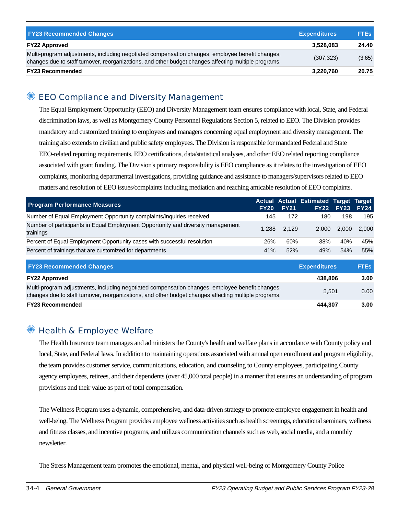| <b>FY23 Recommended Changes</b>                                                                                                                                                                          | <b>Expenditures</b> | <b>FTEs</b> |
|----------------------------------------------------------------------------------------------------------------------------------------------------------------------------------------------------------|---------------------|-------------|
| <b>FY22 Approved</b>                                                                                                                                                                                     | 3,528,083           | 24.40       |
| Multi-program adjustments, including negotiated compensation changes, employee benefit changes,<br>changes due to staff turnover, reorganizations, and other budget changes affecting multiple programs. | (307, 323)          | (3.65)      |
| <b>FY23 Recommended</b>                                                                                                                                                                                  | 3,220,760           | 20.75       |

## ✺ EEO Compliance and Diversity Management

The Equal Employment Opportunity (EEO) and Diversity Management team ensures compliance with local, State, and Federal discrimination laws, as well as Montgomery County Personnel Regulations Section 5, related to EEO. The Division provides mandatory and customized training to employees and managers concerning equal employment and diversity management. The training also extends to civilian and public safety employees. The Division is responsible for mandated Federal and State EEO-related reporting requirements, EEO certifications, data/statistical analyses, and other EEO related reporting compliance associated with grant funding. The Division's primary responsibility is EEO compliance as it relates to the investigation of EEO complaints, monitoring departmental investigations, providing guidance and assistance to managers/supervisors related to EEO matters and resolution of EEO issues/complaints including mediation and reaching amicable resolution of EEO complaints.

| <b>Program Performance Measures</b>                                                          | <b>FY20</b> | <b>FY21</b> | Actual Actual Estimated Target Target | <b>FY22 FY23</b> | <b>FY24</b> |
|----------------------------------------------------------------------------------------------|-------------|-------------|---------------------------------------|------------------|-------------|
| Number of Equal Employment Opportunity complaints/inquiries received                         | 145         | 172         | 180                                   | 198              | 195         |
| Number of participants in Equal Employment Opportunity and diversity management<br>trainings | 1.288       | 2.129       | 2.000                                 | 2.000            | 2.000       |
| Percent of Equal Employment Opportunity cases with successful resolution                     | 26%         | 60%         | 38%                                   | 40%              | 45%         |
| Percent of trainings that are customized for departments                                     | 41%         | 52%         | 49%                                   | 54%              | 55%         |

| <b>FY23 Recommended Changes</b>                                                                                                                                                                          | <b>Expenditures</b> | <b>FTES</b> |
|----------------------------------------------------------------------------------------------------------------------------------------------------------------------------------------------------------|---------------------|-------------|
| <b>FY22 Approved</b>                                                                                                                                                                                     | 438.806             | 3.00        |
| Multi-program adjustments, including negotiated compensation changes, employee benefit changes,<br>changes due to staff turnover, reorganizations, and other budget changes affecting multiple programs. | 5.501               | 0.00        |
| <b>FY23 Recommended</b>                                                                                                                                                                                  | 444.307             | 3.00        |

## ✺ Health & Employee Welfare

The Health Insurance team manages and administers the County's health and welfare plans in accordance with County policy and local, State, and Federal laws. In addition to maintaining operations associated with annual open enrollment and program eligibility, the team provides customer service, communications, education, and counseling to County employees, participating County agency employees, retirees, and their dependents (over 45,000 total people) in a manner that ensures an understanding of program provisions and their value as part of total compensation.

The Wellness Program uses a dynamic, comprehensive, and data-driven strategy to promote employee engagement in health and well-being. The Wellness Program provides employee wellness activities such as health screenings, educational seminars, wellness and fitness classes, and incentive programs, and utilizes communication channels such as web, social media, and a monthly newsletter.

The Stress Management team promotes the emotional, mental, and physical well-being of Montgomery County Police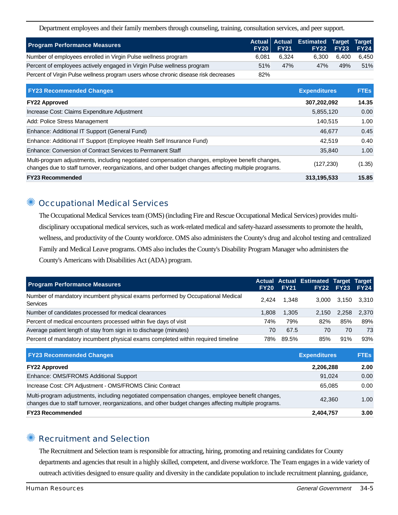Department employees and their family members through counseling, training, consultation services, and peer support.

| <b>Program Performance Measures</b>                                                 | <b>FY20</b> | <b>FY21</b> | Actual Actual Estimated Target Target | <b>FY22 FY23</b> | <b>FY24</b> |
|-------------------------------------------------------------------------------------|-------------|-------------|---------------------------------------|------------------|-------------|
| Number of employees enrolled in Virgin Pulse wellness program                       | 6.081       | 6.324       | 6.300                                 | 6.400            | 6,450       |
| Percent of employees actively engaged in Virgin Pulse wellness program              | 51%         | 47%         | 47%                                   | 49%              | 51%         |
| Percent of Virgin Pulse wellness program users whose chronic disease risk decreases | 82%         |             |                                       |                  |             |

| <b>FY23 Recommended Changes</b>                                                                                                                                                                          | <b>Expenditures</b> | <b>FTEs</b> |
|----------------------------------------------------------------------------------------------------------------------------------------------------------------------------------------------------------|---------------------|-------------|
| <b>FY22 Approved</b>                                                                                                                                                                                     | 307,202,092         | 14.35       |
| Increase Cost: Claims Expenditure Adjustment                                                                                                                                                             | 5,855,120           | 0.00        |
| Add: Police Stress Management                                                                                                                                                                            | 140.515             | 1.00        |
| Enhance: Additional IT Support (General Fund)                                                                                                                                                            | 46.677              | 0.45        |
| Enhance: Additional IT Support (Employee Health Self Insurance Fund)                                                                                                                                     | 42.519              | 0.40        |
| Enhance: Conversion of Contract Services to Permanent Staff                                                                                                                                              | 35,840              | 1.00        |
| Multi-program adjustments, including negotiated compensation changes, employee benefit changes,<br>changes due to staff turnover, reorganizations, and other budget changes affecting multiple programs. | (127, 230)          | (1.35)      |
| <b>FY23 Recommended</b>                                                                                                                                                                                  | 313,195,533         | 15.85       |

## **Occupational Medical Services**

The Occupational Medical Services team (OMS) (including Fire and Rescue Occupational Medical Services) provides multidisciplinary occupational medical services, such as work-related medical and safety-hazard assessments to promote the health, wellness, and productivity of the County workforce. OMS also administers the County's drug and alcohol testing and centralized Family and Medical Leave programs. OMS also includes the County's Disability Program Manager who administers the County's Americans with Disabilities Act (ADA) program.

| <b>Program Performance Measures</b>                                                               | <b>FY20</b> | <b>FY21</b> | Actual Actual Estimated Target Target | <b>FY22 FY23</b> | <b>FY24</b> |
|---------------------------------------------------------------------------------------------------|-------------|-------------|---------------------------------------|------------------|-------------|
| Number of mandatory incumbent physical exams performed by Occupational Medical<br><b>Services</b> | 2.424       | 1.348       |                                       | 3.000 3.150      | 3,310       |
| Number of candidates processed for medical clearances                                             | 1.808       | 1.305       | 2.150                                 | 2.258            | 2.370       |
| Percent of medical encounters processed within five days of visit                                 | 74%         | 79%         | 82%                                   | 85%              | 89%         |
| Average patient length of stay from sign in to discharge (minutes)                                | 70          | 67.5        | 70                                    | 70               | 73          |
| Percent of mandatory incumbent physical exams completed within required timeline                  | 78%         | 89.5%       | 85%                                   | 91%              | 93%         |

| <b>FY23 Recommended Changes</b>                                                                                                                                                                          | <b>Expenditures</b> | <b>FTEs</b> |
|----------------------------------------------------------------------------------------------------------------------------------------------------------------------------------------------------------|---------------------|-------------|
| <b>FY22 Approved</b>                                                                                                                                                                                     | 2,206,288           | 2.00        |
| Enhance: OMS/FROMS Additional Support                                                                                                                                                                    | 91.024              | 0.00        |
| Increase Cost: CPI Adjustment - OMS/FROMS Clinic Contract                                                                                                                                                | 65.085              | 0.00        |
| Multi-program adjustments, including negotiated compensation changes, employee benefit changes,<br>changes due to staff turnover, reorganizations, and other budget changes affecting multiple programs. | 42.360              | 1.00        |
| <b>FY23 Recommended</b>                                                                                                                                                                                  | 2,404,757           | 3.00        |

#### ✺ Recruitment and Selection

The Recruitment and Selection team is responsible for attracting, hiring, promoting and retaining candidates for County departments and agencies that result in a highly skilled, competent, and diverse workforce. The Team engages in a wide variety of outreach activities designed to ensure quality and diversity in the candidate population to include recruitment planning, guidance,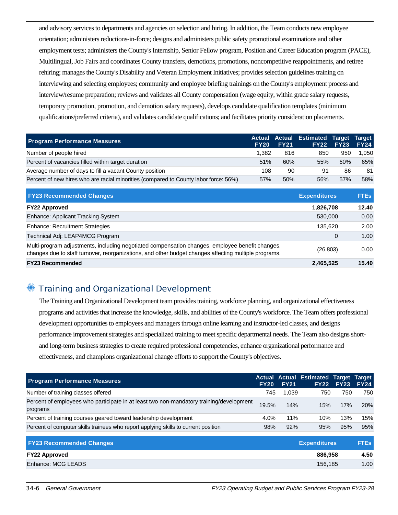and advisory services to departments and agencies on selection and hiring. In addition, the Team conducts new employee orientation; administers reductions-in-force; designs and administers public safety promotional examinations and other employment tests; administers the County's Internship, Senior Fellow program, Position and Career Education program (PACE), Multilingual, Job Fairs and coordinates County transfers, demotions, promotions, noncompetitive reappointments, and retiree rehiring; manages the County's Disability and Veteran Employment Initiatives; provides selection guidelines training on interviewing and selecting employees; community and employee briefing trainings on the County's employment process and interview/resume preparation; reviews and validates all County compensation (wage equity, within grade salary requests, temporary promotion, promotion, and demotion salary requests), develops candidate qualification templates (minimum qualifications/preferred criteria), and validates candidate qualifications; and facilitates priority consideration placements.

| <b>Program Performance Measures</b>                                                  | <b>Actual</b><br><b>FY20</b> | <b>Actual</b><br><b>FY21</b> | <b>Estimated</b><br><b>FY22</b> | <b>Target</b><br><b>FY23</b> | <b>Target</b><br><b>FY24</b> |
|--------------------------------------------------------------------------------------|------------------------------|------------------------------|---------------------------------|------------------------------|------------------------------|
| Number of people hired                                                               | 1,382                        | 816                          | 850                             | 950                          | 1,050                        |
| Percent of vacancies filled within target duration                                   | 51%                          | 60%                          | 55%                             | 60%                          | 65%                          |
| Average number of days to fill a vacant County position                              | 108                          | 90                           | 91                              | 86                           | 81                           |
| Percent of new hires who are racial minorities (compared to County labor force: 56%) | 57%                          | 50%                          | 56%                             | 57%                          | 58%                          |
| <b>FY23 Recommended Changes</b>                                                      |                              |                              | <b>Expenditures</b>             |                              | <b>FTEs</b>                  |
| <b>FY22 Approved</b>                                                                 |                              |                              | 1,826,708                       |                              | 12.40                        |
| Enhance: Applicant Tracking System                                                   |                              |                              | 530,000                         |                              | 0.00                         |
| <b>Enhance: Recruitment Strategies</b>                                               |                              |                              | 135,620                         |                              | 2.00                         |
|                                                                                      |                              |                              |                                 |                              |                              |

Technical Adj: LEAP4MCG Program 0 1.00 Multi-program adjustments, including negotiated compensation changes, employee benefit changes, changes due to staff turnover, reorganizations, and other budget changes affecting multiple programs. (26,803) 0.00 **FY23 Recommended 2,465,525 15.40**

## ✺ Training and Organizational Development

The Training and Organizational Development team provides training, workforce planning, and organizational effectiveness programs and activities that increase the knowledge, skills, and abilities of the County's workforce. The Team offers professional development opportunities to employees and managers through online learning and instructor-led classes, and designs performance improvement strategies and specialized training to meet specific departmental needs. The Team also designs shortand long-term business strategies to create required professional competencies, enhance organizational performance and effectiveness, and champions organizational change efforts to support the County's objectives.

| <b>Program Performance Measures</b>                                                                 | Actual<br><b>FY20</b> | <b>FY21</b> | <b>Actual Estimated Target</b><br>FY22 | <b>FY23</b> | Target<br><b>FY24</b> |
|-----------------------------------------------------------------------------------------------------|-----------------------|-------------|----------------------------------------|-------------|-----------------------|
| Number of training classes offered                                                                  | 745                   | 1,039       | 750                                    | 750         | 750                   |
| Percent of employees who participate in at least two non-mandatory training/development<br>programs | 19.5%                 | 14%         | 15%                                    | 17%         | <b>20%</b>            |
| Percent of training courses geared toward leadership development                                    | 4.0%                  | 11%         | 10%                                    | 13%         | 15%                   |
| Percent of computer skills trainees who report applying skills to current position                  | 98%                   | 92%         | 95%                                    | 95%         | 95%                   |
| <b>FY23 Recommended Changes</b>                                                                     |                       |             | <b>Expenditures</b>                    |             | <b>FTEs</b>           |
| <b>FY22 Approved</b>                                                                                |                       |             | 886,958                                |             | 4.50                  |
| Enhance: MCG LEADS                                                                                  |                       |             | 156,185                                |             | 1.00                  |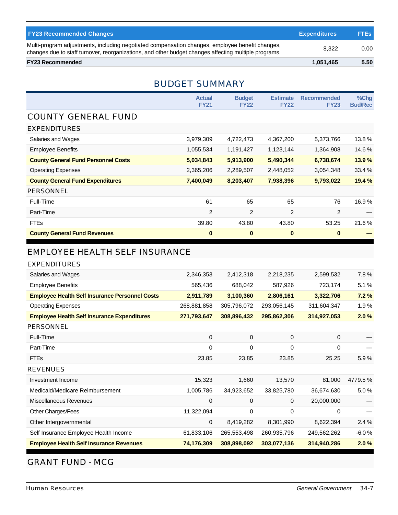| <b>FY23 Recommended Changes</b>                                                                                                                                                                          | <b>Expenditures</b> | <b>FTEs</b> |
|----------------------------------------------------------------------------------------------------------------------------------------------------------------------------------------------------------|---------------------|-------------|
| Multi-program adjustments, including negotiated compensation changes, employee benefit changes,<br>changes due to staff turnover, reorganizations, and other budget changes affecting multiple programs. | 8.322               | 0.00        |
| <b>FY23 Recommended</b>                                                                                                                                                                                  | 1,051,465           | 5.50        |

## BUDGET SUMMARY

|                                            | <b>Actual</b><br><b>FY21</b> | <b>Budget</b><br><b>FY22</b> | <b>Estimate</b><br><b>FY22</b> | <b>Recommended</b><br><b>FY23</b> | %Chg<br><b>Bud/Rec</b> |
|--------------------------------------------|------------------------------|------------------------------|--------------------------------|-----------------------------------|------------------------|
| <b>COUNTY GENERAL FUND</b>                 |                              |                              |                                |                                   |                        |
| <b>EXPENDITURES</b>                        |                              |                              |                                |                                   |                        |
| Salaries and Wages                         | 3,979,309                    | 4,722,473                    | 4,367,200                      | 5,373,766                         | 13.8%                  |
| <b>Employee Benefits</b>                   | 1,055,534                    | 1,191,427                    | 1,123,144                      | 1,364,908                         | 14.6%                  |
| <b>County General Fund Personnel Costs</b> | 5,034,843                    | 5,913,900                    | 5,490,344                      | 6,738,674                         | 13.9%                  |
| <b>Operating Expenses</b>                  | 2,365,206                    | 2,289,507                    | 2,448,052                      | 3,054,348                         | 33.4 %                 |
| <b>County General Fund Expenditures</b>    | 7,400,049                    | 8,203,407                    | 7,938,396                      | 9,793,022                         | 19.4 %                 |
| <b>PERSONNEL</b>                           |                              |                              |                                |                                   |                        |
| Full-Time                                  | 61                           | 65                           | 65                             | 76                                | 16.9%                  |
| Part-Time                                  | 2                            | 2                            | 2                              | 2                                 |                        |
| <b>FTEs</b>                                | 39.80                        | 43.80                        | 43.80                          | 53.25                             | 21.6%                  |
| <b>County General Fund Revenues</b>        | $\bf{0}$                     | $\bf{0}$                     | $\bf{0}$                       | $\bf{0}$                          |                        |

## EMPLOYEE HEALTH SELF INSURANCE

#### EXPENDITURES

| Salaries and Wages                                    | 2,346,353   | 2,412,318   | 2,218,235   | 2,599,532   | 7.8%    |
|-------------------------------------------------------|-------------|-------------|-------------|-------------|---------|
| <b>Employee Benefits</b>                              | 565,436     | 688,042     | 587,926     | 723,174     | 5.1 %   |
| <b>Employee Health Self Insurance Personnel Costs</b> | 2,911,789   | 3,100,360   | 2,806,161   | 3,322,706   | 7.2%    |
| <b>Operating Expenses</b>                             | 268,881,858 | 305,796,072 | 293,056,145 | 311,604,347 | 1.9%    |
| <b>Employee Health Self Insurance Expenditures</b>    | 271,793,647 | 308,896,432 | 295,862,306 | 314,927,053 | 2.0%    |
| PERSONNEL                                             |             |             |             |             |         |
| Full-Time                                             | 0           | 0           | 0           | 0           |         |
| Part-Time                                             | 0           | 0           | 0           | 0           |         |
| <b>FTEs</b>                                           | 23.85       | 23.85       | 23.85       | 25.25       | 5.9%    |
| <b>REVENUES</b>                                       |             |             |             |             |         |
| Investment Income                                     | 15,323      | 1,660       | 13,570      | 81,000      | 4779.5% |
| Medicaid/Medicare Reimbursement                       | 1,005,786   | 34,923,652  | 33,825,780  | 36,674,630  | 5.0%    |
| Miscellaneous Revenues                                | 0           | 0           | 0           | 20,000,000  |         |
| Other Charges/Fees                                    | 11,322,094  | 0           | 0           | 0           |         |
| Other Intergovernmental                               | 0           | 8,419,282   | 8,301,990   | 8,622,394   | 2.4%    |
| Self Insurance Employee Health Income                 | 61,833,106  | 265,553,498 | 260,935,796 | 249,562,262 | $-6.0%$ |
| <b>Employee Health Self Insurance Revenues</b>        | 74,176,309  | 308,898,092 | 303,077,136 | 314,940,286 | 2.0%    |

## GRANT FUND - MCG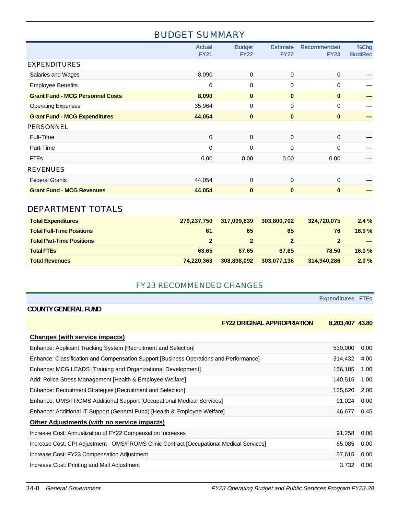## BUDGET SUMMARY

|                                         | <b>Actual</b><br><b>FY21</b> | <b>Budget</b><br><b>FY22</b> | <b>Estimate</b><br><b>FY22</b> | <b>Recommended</b><br><b>FY23</b> | %Chg<br><b>Bud/Rec</b> |
|-----------------------------------------|------------------------------|------------------------------|--------------------------------|-----------------------------------|------------------------|
| <b>EXPENDITURES</b>                     |                              |                              |                                |                                   |                        |
| Salaries and Wages                      | 8,090                        | $\mathbf 0$                  | 0                              | 0                                 |                        |
| <b>Employee Benefits</b>                | $\mathbf 0$                  | $\mathbf 0$                  | 0                              | $\Omega$                          |                        |
| <b>Grant Fund - MCG Personnel Costs</b> | 8,090                        | $\mathbf 0$                  | $\mathbf{0}$                   | $\mathbf{0}$                      |                        |
| <b>Operating Expenses</b>               | 35,964                       | $\pmb{0}$                    | $\mathbf 0$                    | $\mathbf 0$                       |                        |
| <b>Grant Fund - MCG Expenditures</b>    | 44,054                       | $\bf{0}$                     | $\mathbf{0}$                   | $\mathbf{0}$                      |                        |
| <b>PERSONNEL</b>                        |                              |                              |                                |                                   |                        |
| Full-Time                               | $\mathbf 0$                  | $\mathbf 0$                  | $\mathbf 0$                    | $\mathbf 0$                       |                        |
| Part-Time                               | $\Omega$                     | $\mathbf 0$                  | $\Omega$                       | $\Omega$                          |                        |
| <b>FTEs</b>                             | 0.00                         | 0.00                         | 0.00                           | 0.00                              |                        |
| <b>REVENUES</b>                         |                              |                              |                                |                                   |                        |
| <b>Federal Grants</b>                   | 44,054                       | $\mathbf{0}$                 | $\Omega$                       | $\Omega$                          |                        |
| <b>Grant Fund - MCG Revenues</b>        | 44,054                       | $\pmb{0}$                    | $\bf{0}$                       | $\mathbf{0}$                      |                        |
| DEPARTMENT TOTALS                       |                              |                              |                                |                                   |                        |

| <b>Total Expenditures</b>        | 279,237,750  | 317,099,839 | 303,800,702 | 324.720.075 | 2.4%   |
|----------------------------------|--------------|-------------|-------------|-------------|--------|
| <b>Total Full-Time Positions</b> | 61           | 65          | 65          | 76          | 16.9%  |
| <b>Total Part-Time Positions</b> | $\mathbf{P}$ |             |             |             | $\sim$ |
| <b>Total FTEs</b>                | 63.65        | 67.65       | 67.65       | 78.50       | 16.0%  |
| <b>Total Revenues</b>            | 74.220.363   | 308,898,092 | 303,077,136 | 314,940,286 | 2.0%   |

#### FY23 RECOMMENDED CHANGES

|                                                                                           | <b>Expenditures FTEs</b> |      |
|-------------------------------------------------------------------------------------------|--------------------------|------|
| <b>COUNTY GENERAL FUND</b>                                                                |                          |      |
| <b>FY22 ORIGINAL APPROPRIATION</b>                                                        | 8,203,407 43.80          |      |
| <b>Changes (with service impacts)</b>                                                     |                          |      |
| Enhance: Applicant Tracking System [Recruitment and Selection]                            | 530,000                  | 0.00 |
| Enhance: Classification and Compensation Support [Business Operations and Performance]    | 314,432                  | 4.00 |
| Enhance: MCG LEADS [Training and Organizational Development]                              | 156,185                  | 1.00 |
| Add: Police Stress Management [Health & Employee Welfare]                                 | 140,515                  | 1.00 |
| Enhance: Recruitment Strategies [Recruitment and Selection]                               | 135,620                  | 2.00 |
| Enhance: OMS/FROMS Additional Support [Occupational Medical Services]                     | 91,024                   | 0.00 |
| Enhance: Additional IT Support (General Fund) [Health & Employee Welfare]                 | 46,677                   | 0.45 |
| <b>Other Adjustments (with no service impacts)</b>                                        |                          |      |
| Increase Cost: Annualization of FY22 Compensation Increases                               | 91,258                   | 0.00 |
| Increase Cost: CPI Adjustment - OMS/FROMS Clinic Contract [Occupational Medical Services] | 65,085                   | 0.00 |
| Increase Cost: FY23 Compensation Adjustment                                               | 57,615                   | 0.00 |
| Increase Cost: Printing and Mail Adjustment                                               | 3,732                    | 0.00 |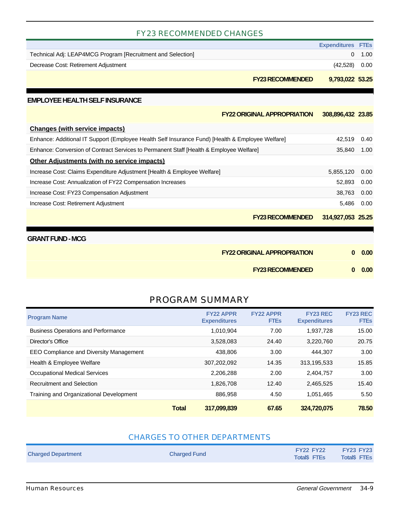#### FY23 RECOMMENDED CHANGES

|                                                                                                  | <b>Expenditures</b> | <b>FTEs</b> |
|--------------------------------------------------------------------------------------------------|---------------------|-------------|
| Technical Adj: LEAP4MCG Program [Recruitment and Selection]                                      | 0                   | 1.00        |
| Decrease Cost: Retirement Adjustment                                                             | (42, 528)           | 0.00        |
| <b>FY23 RECOMMENDED</b>                                                                          | 9,793,022 53.25     |             |
| <b>EMPLOYEE HEALTH SELF INSURANCE</b>                                                            |                     |             |
| <b>FY22 ORIGINAL APPROPRIATION</b>                                                               | 308,896,432 23.85   |             |
| <b>Changes (with service impacts)</b>                                                            |                     |             |
| Enhance: Additional IT Support (Employee Health Self Insurance Fund) [Health & Employee Welfare] | 42,519              | 0.40        |
| Enhance: Conversion of Contract Services to Permanent Staff [Health & Employee Welfare]          | 35,840              | 1.00        |
| Other Adjustments (with no service impacts)                                                      |                     |             |
| Increase Cost: Claims Expenditure Adjustment [Health & Employee Welfare]                         | 5,855,120           | 0.00        |
| Increase Cost: Annualization of FY22 Compensation Increases                                      | 52,893              | 0.00        |
| Increase Cost: FY23 Compensation Adjustment                                                      | 38,763              | 0.00        |
| Increase Cost: Retirement Adjustment                                                             | 5,486               | 0.00        |
| <b>FY23 RECOMMENDED</b>                                                                          | 314,927,053         | 25.25       |

#### **GRANT FUND - MCG**

| <b>FY22 ORIGINAL APPROPRIATION</b> | $0\quad 0.00$ |
|------------------------------------|---------------|
| <b>FY23 RECOMMENDED</b>            | $0\quad 0.00$ |

## PROGRAM SUMMARY

| <b>Program Name</b>                            |              | <b>FY22 APPR</b><br><b>Expenditures</b> | <b>FY22 APPR</b><br><b>FTEs</b> | <b>FY23 REC</b><br><b>Expenditures</b> | <b>FY23 REC</b><br><b>FTEs</b> |
|------------------------------------------------|--------------|-----------------------------------------|---------------------------------|----------------------------------------|--------------------------------|
| <b>Business Operations and Performance</b>     |              | 1,010,904                               | 7.00                            | 1,937,728                              | 15.00                          |
| Director's Office                              |              | 3,528,083                               | 24.40                           | 3,220,760                              | 20.75                          |
| <b>EEO Compliance and Diversity Management</b> |              | 438.806                                 | 3.00                            | 444.307                                | 3.00                           |
| Health & Employee Welfare                      |              | 307,202,092                             | 14.35                           | 313,195,533                            | 15.85                          |
| <b>Occupational Medical Services</b>           |              | 2,206,288                               | 2.00                            | 2.404.757                              | 3.00                           |
| <b>Recruitment and Selection</b>               |              | 1,826,708                               | 12.40                           | 2,465,525                              | 15.40                          |
| Training and Organizational Development        |              | 886.958                                 | 4.50                            | 1,051,465                              | 5.50                           |
|                                                | <b>Total</b> | 317,099,839                             | 67.65                           | 324,720,075                            | 78.50                          |

#### CHARGES TO OTHER DEPARTMENTS

| <b>Charged Department</b> | <b>FY22 FY22</b>    | <b>FY23 FY23</b>    |
|---------------------------|---------------------|---------------------|
| <b>Charged Fund</b>       | <b>Total\$ FTEs</b> | <b>Total\$ FTEs</b> |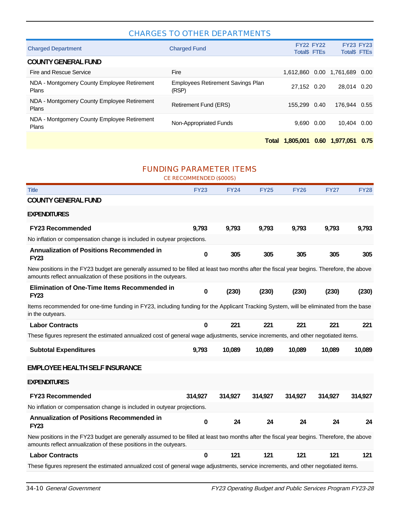#### CHARGES TO OTHER DEPARTMENTS

|                                                      | Total                                             | 1.805.001                               | 0.60 | 1.977.051                               | 0.75 |
|------------------------------------------------------|---------------------------------------------------|-----------------------------------------|------|-----------------------------------------|------|
| NDA - Montgomery County Employee Retirement<br>Plans | Non-Appropriated Funds                            | 9.690                                   | 0.00 | 10.404                                  | 0.00 |
| NDA - Montgomery County Employee Retirement<br>Plans | Retirement Fund (ERS)                             | 155.299                                 | 0.40 | 176.944                                 | 0.55 |
| NDA - Montgomery County Employee Retirement<br>Plans | <b>Employees Retirement Savings Plan</b><br>(RSP) | 27.152 0.20                             |      | 28.014 0.20                             |      |
| Fire and Rescue Service                              | Fire                                              | 1.612.860                               |      | 0.00 1.761.689                          | 0.00 |
| <b>COUNTY GENERAL FUND</b>                           |                                                   |                                         |      |                                         |      |
| <b>Charged Department</b>                            | <b>Charged Fund</b>                               | <b>FY22 FY22</b><br><b>Total\$ FTEs</b> |      | <b>FY23 FY23</b><br><b>Total\$ FTEs</b> |      |

#### FUNDING PARAMETER ITEMS

CE RECOMMENDED (\$000S)

| <b>Title</b>                                                                                                                                                                                                    | <b>FY23</b>  | <b>FY24</b> | <b>FY25</b> | <b>FY26</b> | <b>FY27</b> | <b>FY28</b> |
|-----------------------------------------------------------------------------------------------------------------------------------------------------------------------------------------------------------------|--------------|-------------|-------------|-------------|-------------|-------------|
| <b>COUNTY GENERAL FUND</b>                                                                                                                                                                                      |              |             |             |             |             |             |
| <b>EXPENDITURES</b>                                                                                                                                                                                             |              |             |             |             |             |             |
| <b>FY23 Recommended</b>                                                                                                                                                                                         | 9,793        | 9,793       | 9,793       | 9,793       | 9,793       | 9,793       |
| No inflation or compensation change is included in outyear projections.                                                                                                                                         |              |             |             |             |             |             |
| <b>Annualization of Positions Recommended in</b><br><b>FY23</b>                                                                                                                                                 | $\bf{0}$     | 305         | 305         | 305         | 305         | 305         |
| New positions in the FY23 budget are generally assumed to be filled at least two months after the fiscal year begins. Therefore, the above<br>amounts reflect annualization of these positions in the outyears. |              |             |             |             |             |             |
| <b>Elimination of One-Time Items Recommended in</b><br><b>FY23</b>                                                                                                                                              | 0            | (230)       | (230)       | (230)       | (230)       | (230)       |
| Items recommended for one-time funding in FY23, including funding for the Applicant Tracking System, will be eliminated from the base<br>in the outyears.                                                       |              |             |             |             |             |             |
| <b>Labor Contracts</b>                                                                                                                                                                                          | $\mathbf{0}$ | 221         | 221         | 221         | 221         | 221         |
| These figures represent the estimated annualized cost of general wage adjustments, service increments, and other negotiated items.                                                                              |              |             |             |             |             |             |
| <b>Subtotal Expenditures</b>                                                                                                                                                                                    | 9,793        | 10,089      | 10,089      | 10,089      | 10,089      | 10,089      |
| <b>EMPLOYEE HEALTH SELF INSURANCE</b>                                                                                                                                                                           |              |             |             |             |             |             |
| <b>EXPENDITURES</b>                                                                                                                                                                                             |              |             |             |             |             |             |
| <b>FY23 Recommended</b>                                                                                                                                                                                         | 314,927      | 314,927     | 314,927     | 314,927     | 314,927     | 314,927     |
| No inflation or compensation change is included in outyear projections.                                                                                                                                         |              |             |             |             |             |             |
| <b>Annualization of Positions Recommended in</b><br><b>FY23</b>                                                                                                                                                 | $\bf{0}$     | 24          | 24          | 24          | 24          | 24          |
| New positions in the FY23 budget are generally assumed to be filled at least two months after the fiscal year begins. Therefore, the above<br>amounts reflect annualization of these positions in the outyears. |              |             |             |             |             |             |
| <b>Labor Contracts</b>                                                                                                                                                                                          | $\bf{0}$     | 121         | 121         | 121         | 121         | 121         |
| These figures represent the estimated annualized cost of general wage adjustments, service increments, and other negotiated items.                                                                              |              |             |             |             |             |             |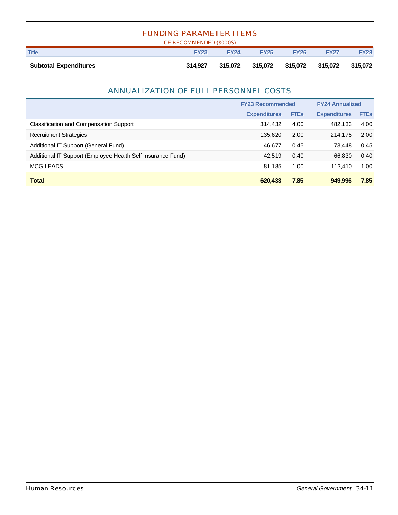| <b>FUNDING PARAMETER ITEMS</b><br>CE RECOMMENDED (\$000S) |             |             |             |                 |             |             |  |  |  |
|-----------------------------------------------------------|-------------|-------------|-------------|-----------------|-------------|-------------|--|--|--|
| <b>Title</b>                                              | <b>FY23</b> | <b>FY24</b> | <b>FY25</b> | <b>FY26</b>     | <b>FY27</b> | <b>FY28</b> |  |  |  |
| <b>Subtotal Expenditures</b>                              | 314.927     | 315.072     |             | 315,072 315,072 | 315,072     | 315.072     |  |  |  |

## ANNUALIZATION OF FULL PERSONNEL COSTS

|                                                             | <b>FY23 Recommended</b> |             | <b>FY24 Annualized</b> |             |
|-------------------------------------------------------------|-------------------------|-------------|------------------------|-------------|
|                                                             | <b>Expenditures</b>     | <b>FTEs</b> | <b>Expenditures</b>    | <b>FTEs</b> |
| <b>Classification and Compensation Support</b>              | 314.432                 | 4.00        | 482,133                | 4.00        |
| <b>Recruitment Strategies</b>                               | 135,620                 | 2.00        | 214,175                | 2.00        |
| Additional IT Support (General Fund)                        | 46.677                  | 0.45        | 73.448                 | 0.45        |
| Additional IT Support (Employee Health Self Insurance Fund) | 42.519                  | 0.40        | 66.830                 | 0.40        |
| <b>MCG LEADS</b>                                            | 81.185                  | 1.00        | 113.410                | 1.00        |
| <b>Total</b>                                                | 620.433                 | 7.85        | 949.996                | 7.85        |